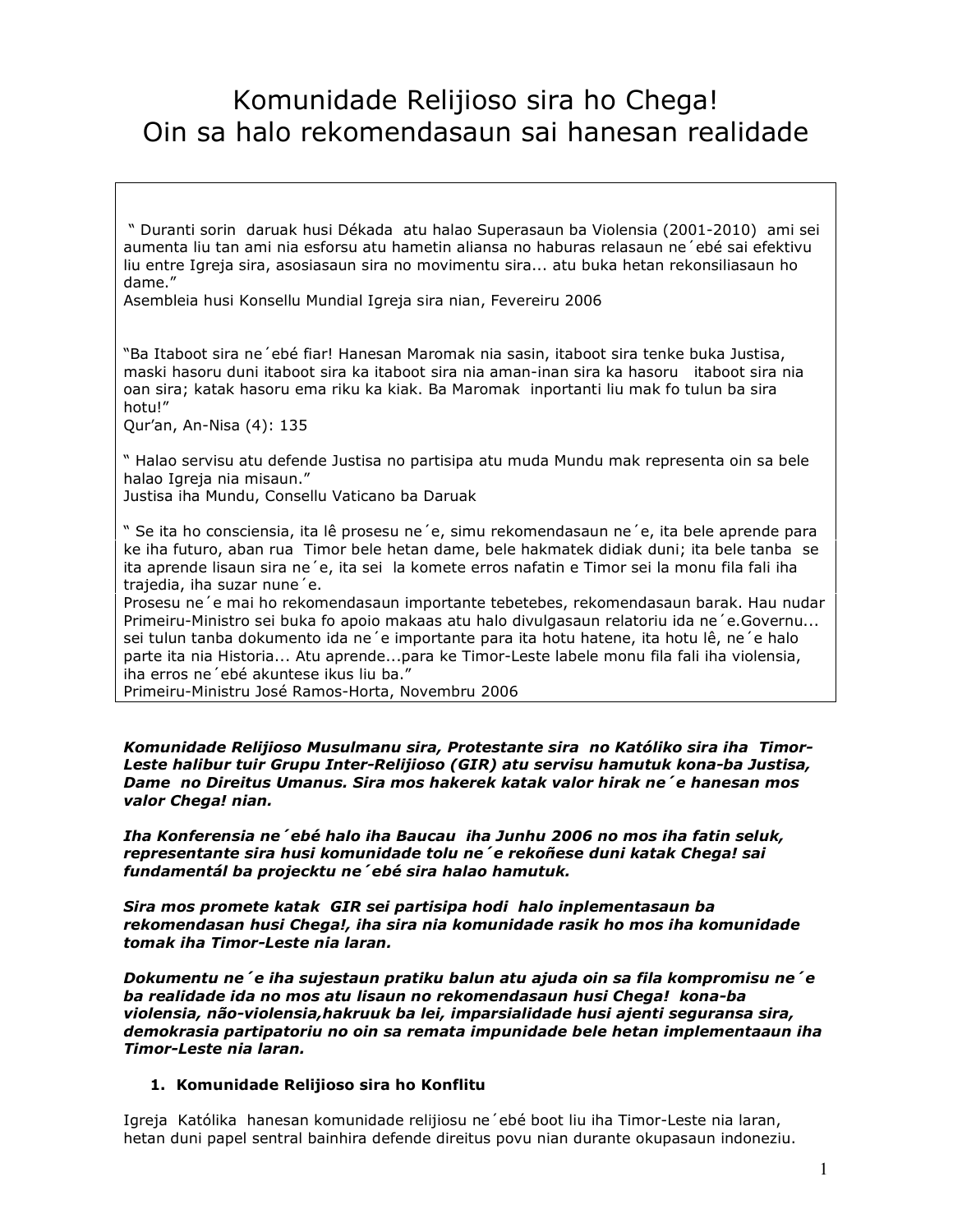# Komunidade Relijioso sira ho Chega! Oin sa halo rekomendasaun sai hanesan realidade

" Duranti sorin daruak husi Dékada atu halao Superasaun ba Violensia (2001-2010) ami sei aumenta liu tan ami nia esforsu atu hametin aliansa no haburas relasaun ne'ebé sai efektivu liu entre Igreja sira, asosiasaun sira no movimentu sira... atu buka hetan rekonsiliasaun ho dame."

Asembleia husi Konsellu Mundial Igreja sira nian, Fevereiru 2006

"Ba Itaboot sira ne 'ebé fiar! Hanesan Maromak nia sasin, itaboot sira tenke buka Justisa, maski hasoru duni itaboot sira ka itaboot sira nia aman-inan sira ka hasoru itaboot sira nia oan sira; katak hasoru ema riku ka kiak. Ba Maromak inportanti liu mak fo tulun ba sira hotu!"

Qur'an, An-Nisa (4): 135

" Halao servisu atu defende Justisa no partisipa atu muda Mundu mak representa oin sa bele halao Igreja nia misaun."

Justisa iha Mundu, Consellu Vaticano ba Daruak

"Se ita ho consciensia, ita lê prosesu ne 'e, simu rekomendasaun ne 'e, ita bele aprende para ke iha futuro, aban rua Timor bele hetan dame, bele hakmatek didiak duni; ita bele tanba se ita aprende lisaun sira ne 'e, ita sei la komete erros nafatin e Timor sei la monu fila fali iha trajedia, iha suzar nune 'e.

Prosesu ne 'e mai ho rekomendasaun importante tebetebes, rekomendasaun barak. Hau nudar Primeiru-Ministro sei buka fo apoio makaas atu halo divulgasaun relatoriu ida ne 'e.Governu... sei tulun tanba dokumento ida ne 'e importante para ita hotu hatene, ita hotu lê, ne 'e halo parte ita nia Historia... Atu aprende...para ke Timor-Leste labele monu fila fali iha violensia, iha erros ne 'ebé akuntese ikus liu ba."

Primeiru-Ministru José Ramos-Horta, Novembru 2006

Komunidade Relijioso Musulmanu sira, Protestante sira no Katóliko sira iha Timor-Leste halibur tuir Grupu Inter-Relijioso (GIR) atu servisu hamutuk kona-ba Justisa, Dame no Direitus Umanus. Sira mos hakerek katak valor hirak ne 'e hanesan mos valor Chega! nian.

Iha Konferensia ne ebé halo iha Baucau iha Junhu 2006 no mos iha fatin seluk, representante sira husi komunidade tolu ne 'e rekoñese duni katak Chega! sai fundamentál ba projecktu ne éebé sira halao hamutuk.

Sira mos promete katak GIR sei partisipa hodi halo inplementasaun ba rekomendasan husi Chega!, iha sira nia komunidade rasik ho mos iha komunidade tomak iha Timor-Leste nia laran.

Dokumentu ne 'e iha sujestaun pratiku balun atu ajuda oin sa fila kompromisu ne 'e ba realidade ida no mos atu lisaun no rekomendasaun husi Chega! kona-ba violensia, não-violensia,hakruuk ba lei, imparsialidade husi ajenti seguransa sira, demokrasia partipatoriu no oin sa remata impunidade bele hetan implementaaun iha Timor-Leste nia laran.

### 1. Komunidade Relijioso sira ho Konflitu

Igreja Katólika hanesan komunidade relijiosu ne ebé boot liu iha Timor-Leste nia laran, hetan duni papel sentral bainhira defende direitus povu nian durante okupasaun indoneziu.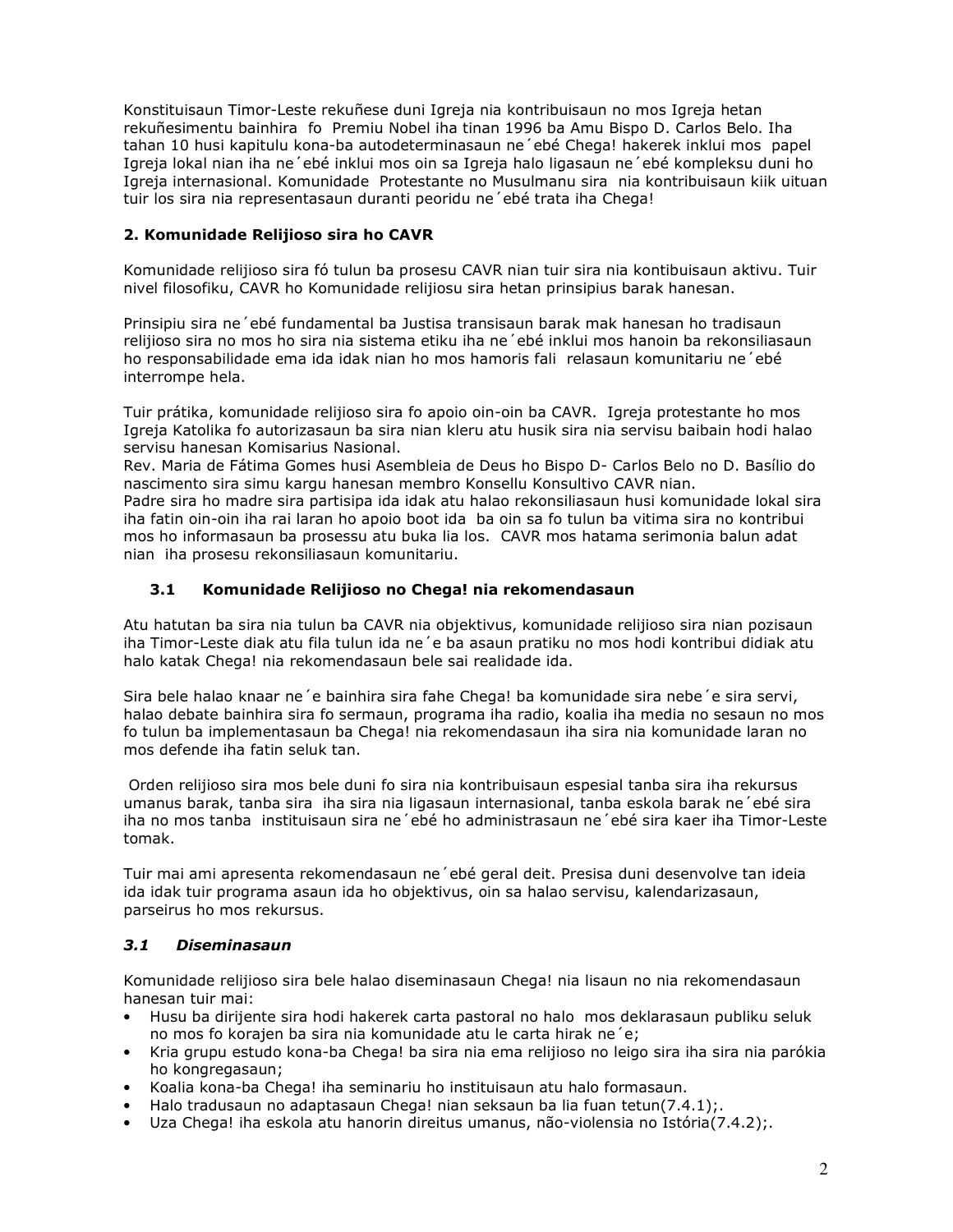Konstituisaun Timor-Leste rekuñese duni Igreja nia kontribuisaun no mos Igreja hetan rekuñesimentu bainhira fo Premiu Nobel iha tinan 1996 ba Amu Bispo D. Carlos Belo. Iha tahan 10 husi kapitulu kona-ba autodeterminasaun ne'ebé Chega! hakerek inklui mos papel Igreja lokal nian iha ne 'ebé inklui mos oin sa Igreja halo ligasaun ne 'ebé kompleksu duni ho Igreja internasional. Komunidade Protestante no Musulmanu sira nia kontribuisaun kiik uituan tuir los sira nia representasaun duranti peoridu ne 'ebé trata iha Chega!

# 2. Komunidade Relijioso sira ho CAVR

Komunidade relijioso sira fó tulun ba prosesu CAVR nian tuir sira nia kontibuisaun aktivu. Tuir nivel filosofiku, CAVR ho Komunidade relijiosu sira hetan prinsipius barak hanesan.

Prinsipiu sira ne 'ebé fundamental ba Justisa transisaun barak mak hanesan ho tradisaun relijioso sira no mos ho sira nia sistema etiku iha ne ebé inklui mos hanoin ba rekonsiliasaun ho responsabilidade ema ida idak nian ho mos hamoris fali relasaun komunitariu ne'ebé interrompe hela.

Tuir prátika, komunidade relijioso sira fo apoio oin-oin ba CAVR. Igreja protestante ho mos Igreja Katolika fo autorizasaun ba sira nian kleru atu husik sira nia servisu baibain hodi halao servisu hanesan Komisarius Nasional.

Rev. Maria de Fátima Gomes husi Asembleia de Deus ho Bispo D- Carlos Belo no D. Basílio do nascimento sira simu karqu hanesan membro Konsellu Konsultivo CAVR nian.

Padre sira ho madre sira partisipa ida idak atu halao rekonsiliasaun husi komunidade lokal sira iha fatin oin-oin iha rai laran ho apoio boot ida ba oin sa fo tulun ba vitima sira no kontribui mos ho informasaun ba prosessu atu buka lia los. CAVR mos hatama serimonia balun adat nian iha prosesu rekonsiliasaun komunitariu.

#### $3.1$ Komunidade Relijioso no Chega! nia rekomendasaun

Atu hatutan ba sira nia tulun ba CAVR nia objektivus, komunidade relijioso sira nian pozisaun iha Timor-Leste diak atu fila tulun ida ne 'e ba asaun pratiku no mos hodi kontribui didiak atu halo katak Chega! nia rekomendasaun bele sai realidade ida.

Sira bele halao knaar ne 'e bainhira sira fahe Chega! ba komunidade sira nebe 'e sira servi, halao debate bainhira sira fo sermaun, programa iha radio, koalia iha media no sesaun no mos fo tulun ba implementasaun ba Chega! nia rekomendasaun iha sira nia komunidade laran no mos defende iha fatin seluk tan.

Orden relijioso sira mos bele duni fo sira nia kontribuisaun espesial tanba sira iha rekursus umanus barak, tanba sira iha sira nia ligasaun internasional, tanba eskola barak ne'ebé sira iha no mos tanba instituisaun sira ne 'ebé ho administrasaun ne 'ebé sira kaer iha Timor-Leste tomak.

Tuir mai ami apresenta rekomendasaun ne 'ebé geral deit. Presisa duni desenvolve tan ideia ida idak tuir programa asaun ida ho objektivus, oin sa halao servisu, kalendarizasaun, parseirus ho mos rekursus.

#### $3.1$ **Diseminasaun**

Komunidade relijioso sira bele halao diseminasaun Chega! nia lisaun no nia rekomendasaun hanesan tuir mai:

- Husu ba dirijente sira hodi hakerek carta pastoral no halo mos deklarasaun publiku seluk no mos fo korajen ba sira nia komunidade atu le carta hirak ne'e;
- Kria grupu estudo kona-ba Chega! ba sira nia ema relijioso no leigo sira iha sira nia parókia  $\bullet$ ho kongregasaun;
- Koalia kona-ba Chega! iha seminariu ho instituisaun atu halo formasaun.
- Halo tradusaun no adaptasaun Chega! nian seksaun ba lia fuan tetun(7.4.1);
- Uza Chega! iha eskola atu hanorin direitus umanus, não-violensia no Istória(7.4.2);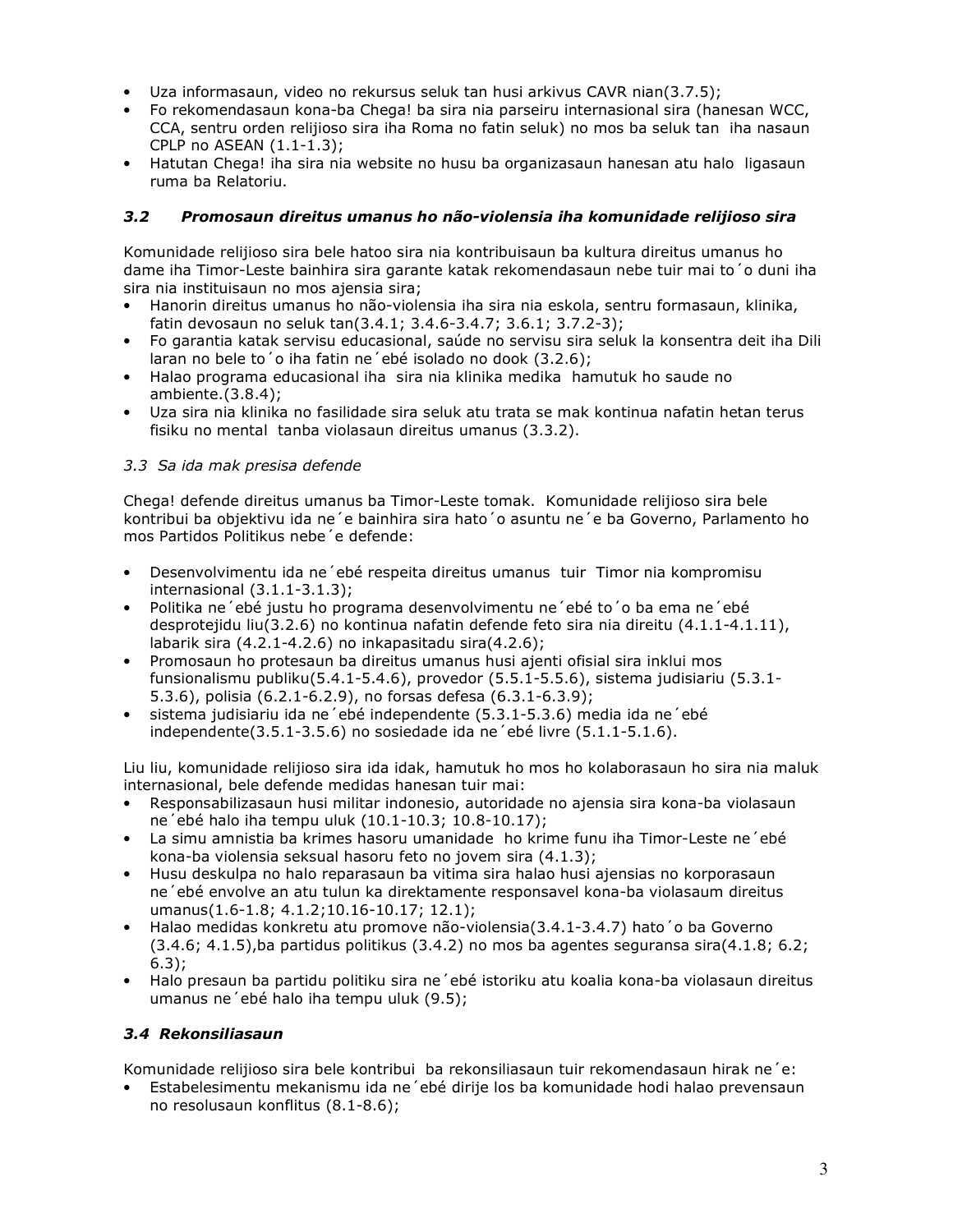- Uza informasaun, video no rekursus seluk tan husi arkivus CAVR nian(3.7.5);
- Fo rekomendasaun kona-ba Chega! ba sira nia parseiru internasional sira (hanesan WCC, CCA, sentru orden relijioso sira iha Roma no fatin seluk) no mos ba seluk tan iha nasaun CPLP no ASEAN (1.1-1.3);
- Hatutan Chega! iha sira nia website no husu ba organizasaun hanesan atu halo ligasaun ruma ba Relatoriu.

#### $3.2$ Promosaun direitus umanus ho não-violensia iha komunidade relijioso sira

Komunidade relijioso sira bele hatoo sira nia kontribuisaun ba kultura direitus umanus ho dame iha Timor-Leste bainhira sira garante katak rekomendasaun nebe tuir mai to'o duni iha sira nia instituisaun no mos ajensia sira;

- Hanorin direitus umanus ho não-violensia iha sira nia eskola, sentru formasaun, klinika,  $\bullet$ fatin devosaun no seluk tan(3.4.1; 3.4.6-3.4.7; 3.6.1; 3.7.2-3);
- Fo garantia katak servisu educasional, saúde no servisu sira seluk la konsentra deit iha Dili laran no bele to 'o iha fatin ne 'ebé isolado no dook (3.2.6);
- Halao programa educasional iha sira nia klinika medika hamutuk ho saude no ambiente.(3.8.4);
- Uza sira nia klinika no fasilidade sira seluk atu trata se mak kontinua nafatin hetan terus fisiku no mental tanba violasaun direitus umanus (3.3.2).

# 3.3 Sa ida mak presisa defende

Chega! defende direitus umanus ba Timor-Leste tomak. Komunidade relijioso sira bele kontribui ba obiektivu ida ne'e bainhira sira hato'o asuntu ne'e ba Governo, Parlamento ho mos Partidos Politikus nebe 'e defende:

- Desenvolvimentu ida ne 'ebé respeita direitus umanus tuir Timor nia kompromisu  $\bullet$ internasional (3.1.1-3.1.3);
- Politika ne ebé justu ho programa desenvolvimentu ne ebé to o ba ema ne ebé  $\bullet$ desprotejidu liu(3.2.6) no kontinua nafatin defende feto sira nia direitu (4.1.1-4.1.11), labarik sira (4.2.1-4.2.6) no inkapasitadu sira(4.2.6);
- Promosaun ho protesaun ba direitus umanus husi ajenti ofisial sira inklui mos  $\bullet$ funsionalismu publiku $(5.4.1 - 5.4.6)$ , provedor  $(5.5.1 - 5.5.6)$ , sistema judisiariu  $(5.3.1 - 5.3.1)$ 5.3.6), polisia (6.2.1-6.2.9), no forsas defesa (6.3.1-6.3.9);
- sistema judisiariu ida ne 'ebé independente (5.3.1-5.3.6) media ida ne 'ebé  $\bullet$ independente(3.5.1-3.5.6) no sosiedade ida ne 'ebé livre (5.1.1-5.1.6).

Liu liu, komunidade relijioso sira ida idak, hamutuk ho mos ho kolaborasaun ho sira nia maluk internasional, bele defende medidas hanesan tuir mai:

- Responsabilizasaun husi militar indonesio, autoridade no ajensia sira kona-ba violasaun ne 'ebé halo iha tempu uluk (10.1-10.3; 10.8-10.17);
- La simu amnistia ba krimes hasoru umanidade ho krime funu iha Timor-Leste ne ebé  $\bullet$ kona-ba violensia seksual hasoru feto no jovem sira (4.1.3);
- Husu deskulpa no halo reparasaun ba vitima sira halao husi ajensias no korporasaun  $\bullet$ ne 'ebé envolve an atu tulun ka direktamente responsavel kona-ba violasaum direitus umanus(1.6-1.8; 4.1.2;10.16-10.17; 12.1);
- Halao medidas konkretu atu promove não-violensia(3.4.1-3.4.7) hato o ba Governo  $\bullet$  $(3.4.6; 4.1.5)$ , ba partidus politikus  $(3.4.2)$  no mos ba agentes seguransa sira $(4.1.8; 6.2;$  $6.3);$
- Halo presaun ba partidu politiku sira ne 'ebé istoriku atu koalia kona-ba violasaun direitus  $\bullet$ umanus ne 'ebé halo iha tempu uluk (9.5);

# 3.4 Rekonsiliasaun

Komunidade relijioso sira bele kontribui ba rekonsiliasaun tuir rekomendasaun hirak ne'e:

Estabelesimentu mekanismu ida ne 'ebé dirije los ba komunidade hodi halao prevensaun no resolusaun konflitus (8.1-8.6);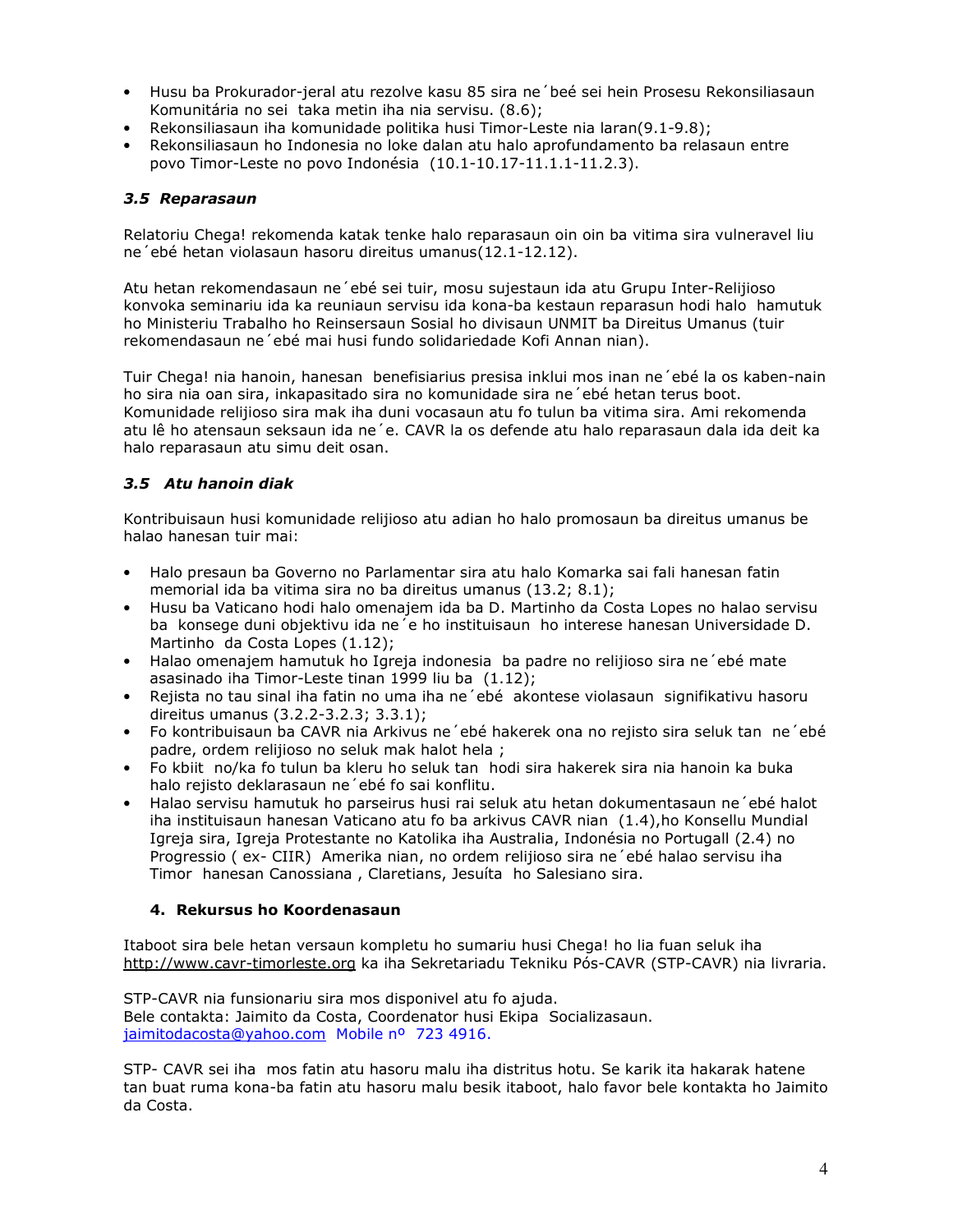- · Husu ba Prokurador-jeral atu rezolve kasu 85 sira ne ´beé sei hein Prosesu Rekonsiliasaun Komunitária no sei taka metin iha nia servisu. (8.6);
- Rekonsiliasaun iha komunidade politika husi Timor-Leste nia laran(9.1-9.8);
- Rekonsiliasaun ho Indonesia no loke dalan atu halo aprofundamento ba relasaun entre povo Timor-Leste no povo Indonésia (10.1-10.17-11.1.1-11.2.3).

### 3.5 Reparasaun

Relatoriu Chega! rekomenda katak tenke halo reparasaun oin oin ba vitima sira vulneravel liu ne 'ebé hetan violasaun hasoru direitus umanus(12.1-12.12).

Atu hetan rekomendasaun ne 'ebé sei tuir, mosu sujestaun ida atu Grupu Inter-Relijioso konvoka seminariu ida ka reuniaun servisu ida kona-ba kestaun reparasun hodi halo hamutuk ho Ministeriu Trabalho ho Reinsersaun Sosial ho divisaun UNMIT ba Direitus Umanus (tuir rekomendasaun ne 'ebé mai husi fundo solidariedade Kofi Annan nian).

Tuir Chega! nia hanoin, hanesan benefisiarius presisa inklui mos inan ne 'ebé la os kaben-nain ho sira nia oan sira, inkapasitado sira no komunidade sira ne 'ebé hetan terus boot. Komunidade relijioso sira mak iha duni vocasaun atu fo tulun ba vitima sira. Ami rekomenda atu lê ho atensaun seksaun ida ne 'e. CAVR la os defende atu halo reparasaun dala ida deit ka halo reparasaun atu simu deit osan.

# 3.5 Atu hanoin diak

Kontribuisaun husi komunidade relijioso atu adian ho halo promosaun ba direitus umanus be halao hanesan tuir mai:

- Halo presaun ba Governo no Parlamentar sira atu halo Komarka sai fali hanesan fatin  $\bullet$ memorial ida ba vitima sira no ba direitus umanus (13.2; 8.1);
- Husu ba Vaticano hodi halo omenajem ida ba D. Martinho da Costa Lopes no halao servisu ba konsege duni objektivu ida ne 'e ho instituisaun ho interese hanesan Universidade D. Martinho da Costa Lopes (1.12);
- Halao omenajem hamutuk ho Igreja indonesia ba padre no relijioso sira ne ebé mate  $\bullet$ asasinado iha Timor-Leste tinan 1999 liu ba (1.12);
- Rejista no tau sinal iha fatin no uma iha ne'ebé akontese violasaun signifikativu hasoru  $\bullet$ direitus umanus (3.2.2-3.2.3; 3.3.1);
- Fo kontribuisaun ba CAVR nia Arkivus ne 'ebé hakerek ona no rejisto sira seluk tan ne 'ebé  $\bullet$ padre, ordem relijioso no seluk mak halot hela ;
- Fo kbiit no/ka fo tulun ba kleru ho seluk tan hodi sira hakerek sira nia hanoin ka buka halo rejisto deklarasaun ne 'ebé fo sai konflitu.
- Halao servisu hamutuk ho parseirus husi rai seluk atu hetan dokumentasaun ne'ebé halot iha instituisaun hanesan Vaticano atu fo ba arkivus CAVR nian (1.4), ho Konsellu Mundial Igreja sira, Igreja Protestante no Katolika iha Australia, Indonésia no Portugall (2.4) no Progressio (ex- CIIR) Amerika nian, no ordem relijioso sira ne 'ebé halao servisu iha Timor hanesan Canossiana, Claretians, Jesuíta ho Salesiano sira.

# 4. Rekursus ho Koordenasaun

Itaboot sira bele hetan versaun kompletu ho sumariu husi Chega! ho lia fuan seluk iha http://www.cavr-timorleste.org ka iha Sekretariadu Tekniku Pós-CAVR (STP-CAVR) nia livraria.

STP-CAVR nia funsionariu sira mos disponivel atu fo ajuda. Bele contakta: Jaimito da Costa, Coordenator husi Ekipa Socializasaun. jaimitodacosta@yahoo.com Mobile nº 723 4916.

STP- CAVR sei iha mos fatin atu hasoru malu iha distritus hotu. Se karik ita hakarak hatene tan buat ruma kona-ba fatin atu hasoru malu besik itaboot, halo favor bele kontakta ho Jaimito da Costa.